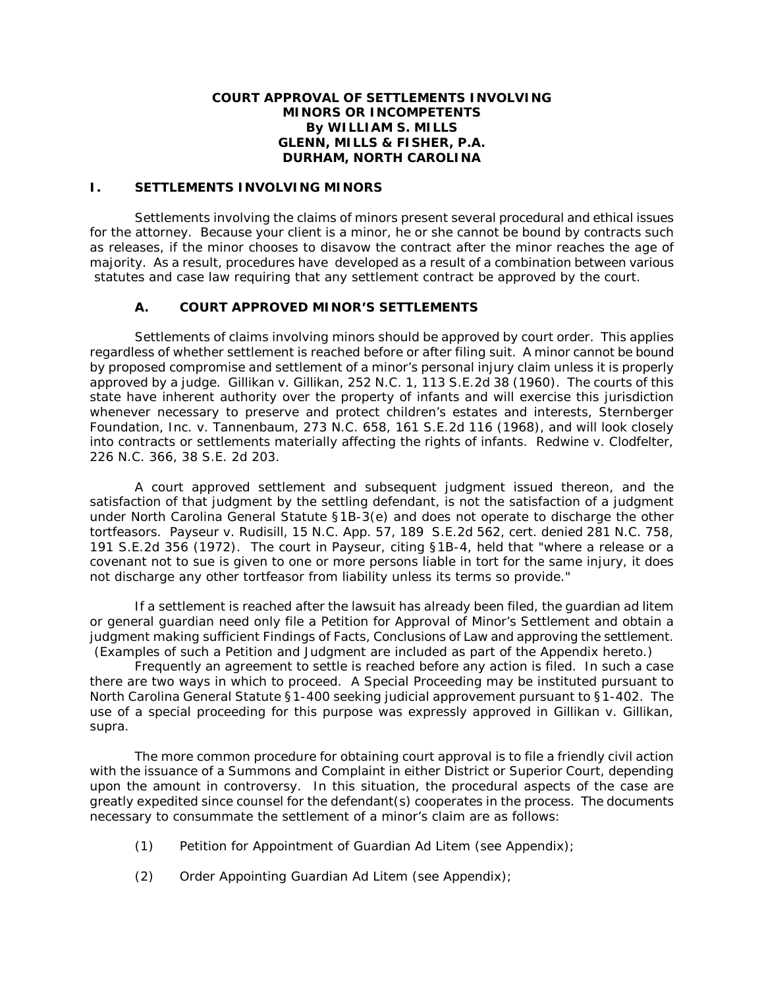## **COURT APPROVAL OF SETTLEMENTS INVOLVING MINORS OR INCOMPETENTS By WILLIAM S. MILLS GLENN, MILLS & FISHER, P.A. DURHAM, NORTH CAROLINA**

## **I. SETTLEMENTS INVOLVING MINORS**

Settlements involving the claims of minors present several procedural and ethical issues for the attorney. Because your client is a minor, he or she cannot be bound by contracts such as releases, if the minor chooses to disavow the contract after the minor reaches the age of majority. As a result, procedures have developed as a result of a combination between various statutes and case law requiring that any settlement contract be approved by the court.

# **A. COURT APPROVED MINOR'S SETTLEMENTS**

Settlements of claims involving minors should be approved by court order. This applies regardless of whether settlement is reached before or after filing suit. A minor cannot be bound by proposed compromise and settlement of a minor's personal injury claim unless it is properly approved by a judge. *Gillikan v. Gillikan*, 252 N.C. 1, 113 S.E.2d 38 (1960). The courts of this state have inherent authority over the property of infants and will exercise this jurisdiction whenever necessary to preserve and protect children's estates and interests, *Sternberger Foundation, Inc. v. Tannenbaum*, 273 N.C. 658, 161 S.E.2d 116 (1968), and will look closely into contracts or settlements materially affecting the rights of infants. *Redwine v. Clodfelter*, 226 N.C. 366, 38 S.E. 2d 203.

A court approved settlement and subsequent judgment issued thereon, and the satisfaction of that judgment by the settling defendant, is not the satisfaction of a judgment under North Carolina General Statute §1B-3(e) and does not operate to discharge the other tortfeasors. *Payseur v. Rudisill*, 15 N.C. App. 57, 189 S.E.2d 562, *cert. denied* 281 N.C. 758, 191 S.E.2d 356 (1972). The court in *Payseur*, citing §1B-4, held that "where a release or a covenant not to sue is given to one or more persons liable in tort for the same injury, it does not discharge any other tortfeasor from liability unless its terms so provide."

If a settlement is reached after the lawsuit has already been filed, the guardian *ad litem* or general guardian need only file a Petition for Approval of Minor's Settlement and obtain a judgment making sufficient Findings of Facts, Conclusions of Law and approving the settlement. (Examples of such a Petition and Judgment are included as part of the Appendix hereto.)

Frequently an agreement to settle is reached before any action is filed. In such a case there are two ways in which to proceed. A Special Proceeding may be instituted pursuant to North Carolina General Statute §1-400 seeking judicial approvement pursuant to §1-402. The use of a special proceeding for this purpose was expressly approved in *Gillikan v. Gillikan, supra.*

The more common procedure for obtaining court approval is to file a friendly civil action with the issuance of a Summons and Complaint in either District or Superior Court, depending upon the amount in controversy. In this situation, the procedural aspects of the case are greatly expedited since counsel for the defendant(s) cooperates in the process. The documents necessary to consummate the settlement of a minor's claim are as follows:

- (1) Petition for Appointment of Guardian *Ad Litem* (see Appendix);
- (2) Order Appointing Guardian *Ad Litem* (see Appendix);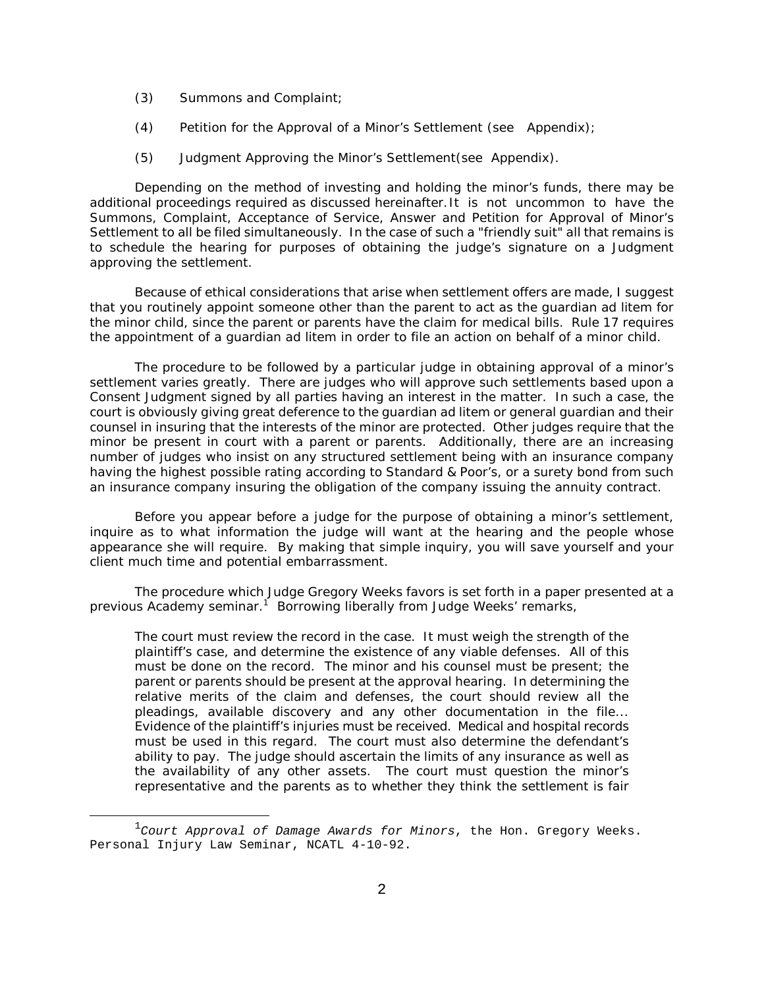- (3) Summons and Complaint;
- (4) Petition for the Approval of a Minor's Settlement (see Appendix);
- (5) Judgment Approving the Minor's Settlement(see Appendix).

Depending on the method of investing and holding the minor's funds, there may be additional proceedings required as discussed hereinafter. It is not uncommon to have the Summons, Complaint, Acceptance of Service, Answer and Petition for Approval of Minor's Settlement to all be filed simultaneously. In the case of such a "friendly suit" all that remains is to schedule the hearing for purposes of obtaining the judge's signature on a Judgment approving the settlement.

Because of ethical considerations that arise when settlement offers are made, I suggest that you routinely appoint someone other than the parent to act as the guardian *ad litem* for the minor child, since the parent or parents have the claim for medical bills. Rule 17 requires the appointment of a guardian *ad litem* in order to file an action on behalf of a minor child.

The procedure to be followed by a particular judge in obtaining approval of a minor's settlement varies greatly. There are judges who will approve such settlements based upon a Consent Judgment signed by all parties having an interest in the matter. In such a case, the court is obviously giving great deference to the guardian *ad litem* or general guardian and their counsel in insuring that the interests of the minor are protected. Other judges require that the minor be present in court with a parent or parents. Additionally, there are an increasing number of judges who insist on any structured settlement being with an insurance company having the highest possible rating according to Standard & Poor's, or a surety bond from such an insurance company insuring the obligation of the company issuing the annuity contract.

Before you appear before a judge for the purpose of obtaining a minor's settlement, inquire as to what information the judge will want at the hearing and the people whose appearance she will require. By making that simple inquiry, you will save yourself and your client much time and potential embarrassment.

The procedure which Judge Gregory Weeks favors is set forth in a paper presented at a previous Academy seminar.<sup>1</sup> Borrowing liberally from Judge Weeks' remarks,

The court must review the record in the case. It must weigh the strength of the plaintiff's case, and determine the existence of any viable defenses. All of this must be done on the record. The minor and his counsel must be present; the parent or parents should be present at the approval hearing. In determining the relative merits of the claim and defenses, the court should review all the pleadings, available discovery and any other documentation in the file... Evidence of the plaintiff's injuries must be received. Medical and hospital records must be used in this regard. The court must also determine the defendant's ability to pay. The judge should ascertain the limits of any insurance as well as the availability of any other assets. The court must question the minor's representative and the parents as to whether they think the settlement is fair

 $^1$ Court Approval of Damage Awards for Minors, the Hon. Gregory Weeks. Personal Injury Law Seminar, NCATL 4-10-92.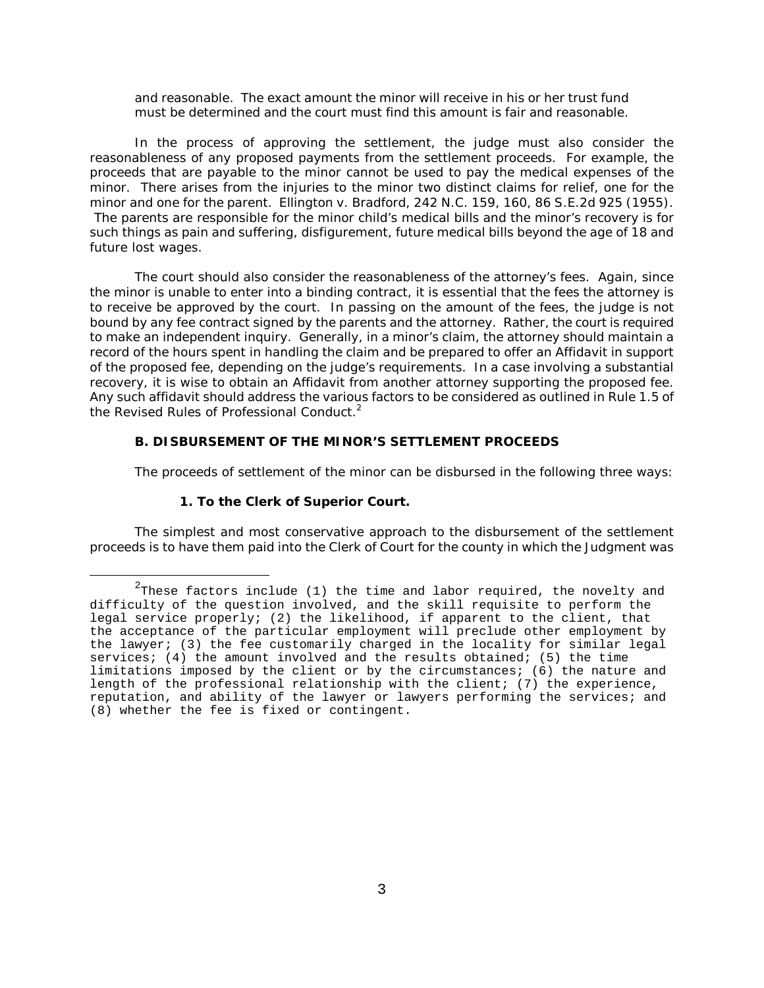and reasonable. The exact amount the minor will receive in his or her trust fund must be determined and the court must find this amount is fair and reasonable.

In the process of approving the settlement, the judge must also consider the reasonableness of any proposed payments from the settlement proceeds. For example, the proceeds that are payable to the minor cannot be used to pay the medical expenses of the minor. There arises from the injuries to the minor two distinct claims for relief, one for the minor and one for the parent. *Ellington v. Bradford*, 242 N.C. 159, 160, 86 S.E.2d 925 (1955). The parents are responsible for the minor child's medical bills and the minor's recovery is for such things as pain and suffering, disfigurement, future medical bills beyond the age of 18 and future lost wages.

The court should also consider the reasonableness of the attorney's fees. Again, since the minor is unable to enter into a binding contract, it is essential that the fees the attorney is to receive be approved by the court. In passing on the amount of the fees, the judge is not bound by any fee contract signed by the parents and the attorney. Rather, the court is required to make an independent inquiry. Generally, in a minor's claim, the attorney should maintain a record of the hours spent in handling the claim and be prepared to offer an Affidavit in support of the proposed fee, depending on the judge's requirements. In a case involving a substantial recovery, it is wise to obtain an Affidavit from another attorney supporting the proposed fee. Any such affidavit should address the various factors to be considered as outlined in Rule 1.5 of the Revised Rules of Professional Conduct.<sup>2</sup>

## **B. DISBURSEMENT OF THE MINOR'S SETTLEMENT PROCEEDS**

The proceeds of settlement of the minor can be disbursed in the following three ways:

## **1. To the Clerk of Superior Court.**

The simplest and most conservative approach to the disbursement of the settlement proceeds is to have them paid into the Clerk of Court for the county in which the Judgment was

 $^2$ These factors include (1) the time and labor required, the novelty and difficulty of the question involved, and the skill requisite to perform the legal service properly; (2) the likelihood, if apparent to the client, that the acceptance of the particular employment will preclude other employment by the lawyer; (3) the fee customarily charged in the locality for similar legal services; (4) the amount involved and the results obtained; (5) the time limitations imposed by the client or by the circumstances; (6) the nature and length of the professional relationship with the client; (7) the experience, reputation, and ability of the lawyer or lawyers performing the services; and (8) whether the fee is fixed or contingent.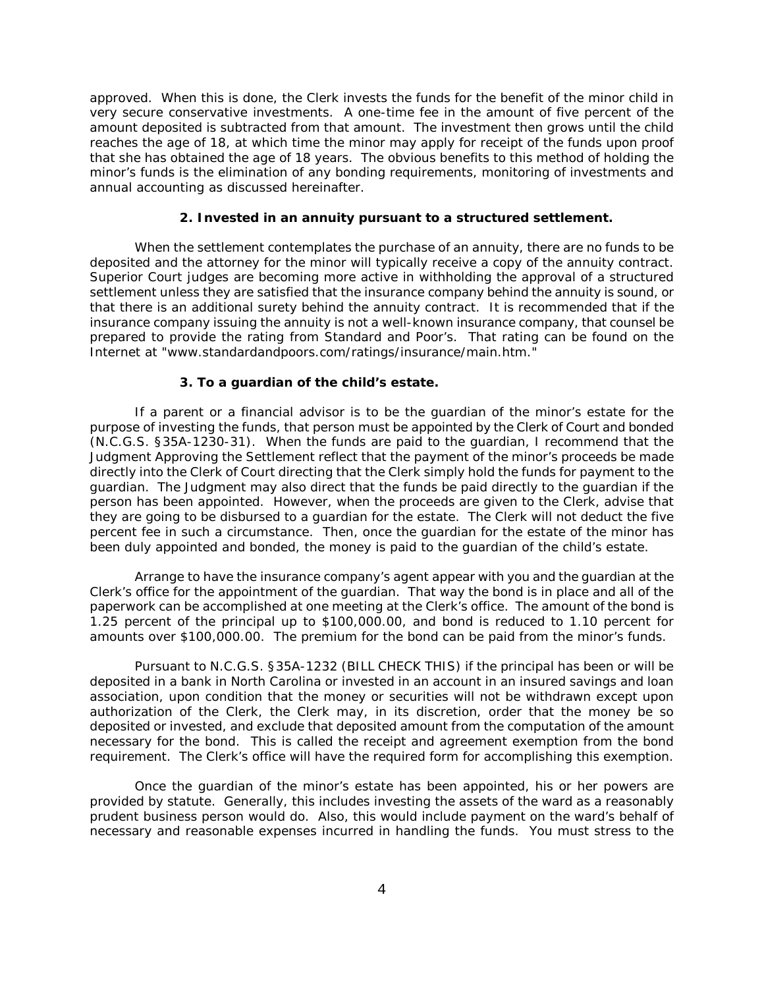approved. When this is done, the Clerk invests the funds for the benefit of the minor child in very secure conservative investments. A one-time fee in the amount of five percent of the amount deposited is subtracted from that amount. The investment then grows until the child reaches the age of 18, at which time the minor may apply for receipt of the funds upon proof that she has obtained the age of 18 years. The obvious benefits to this method of holding the minor's funds is the elimination of any bonding requirements, monitoring of investments and annual accounting as discussed hereinafter.

### **2. Invested in an annuity pursuant to a structured settlement.**

When the settlement contemplates the purchase of an annuity, there are no funds to be deposited and the attorney for the minor will typically receive a copy of the annuity contract. Superior Court judges are becoming more active in withholding the approval of a structured settlement unless they are satisfied that the insurance company behind the annuity is sound, or that there is an additional surety behind the annuity contract. It is recommended that if the insurance company issuing the annuity is not a well-known insurance company, that counsel be prepared to provide the rating from Standard and Poor's. That rating can be found on the Internet at "www.standardandpoors.com/ratings/insurance/main.htm."

#### **3. To a guardian of the child's estate.**

If a parent or a financial advisor is to be the guardian of the minor's estate for the purpose of investing the funds, that person must be appointed by the Clerk of Court and bonded (N.C.G.S. §35A-1230-31). When the funds are paid to the guardian, I recommend that the Judgment Approving the Settlement reflect that the payment of the minor's proceeds be made directly into the Clerk of Court directing that the Clerk simply hold the funds for payment to the guardian. The Judgment may also direct that the funds be paid directly to the guardian if the person has been appointed. However, when the proceeds are given to the Clerk, advise that they are going to be disbursed to a guardian for the estate. The Clerk will not deduct the five percent fee in such a circumstance. Then, once the guardian for the estate of the minor has been duly appointed and bonded, the money is paid to the guardian of the child's estate.

Arrange to have the insurance company's agent appear with you and the guardian at the Clerk's office for the appointment of the guardian. That way the bond is in place and all of the paperwork can be accomplished at one meeting at the Clerk's office. The amount of the bond is 1.25 percent of the principal up to \$100,000.00, and bond is reduced to 1.10 percent for amounts over \$100,000.00. The premium for the bond can be paid from the minor's funds.

Pursuant to N.C.G.S. §35A-1232 (BILL CHECK THIS) if the principal has been or will be deposited in a bank in North Carolina or invested in an account in an insured savings and loan association, upon condition that the money or securities will not be withdrawn except upon authorization of the Clerk, the Clerk may, in its discretion, order that the money be so deposited or invested, and exclude that deposited amount from the computation of the amount necessary for the bond. This is called the receipt and agreement exemption from the bond requirement. The Clerk's office will have the required form for accomplishing this exemption.

Once the guardian of the minor's estate has been appointed, his or her powers are provided by statute. Generally, this includes investing the assets of the ward as a reasonably prudent business person would do. Also, this would include payment on the ward's behalf of necessary and reasonable expenses incurred in handling the funds. You must stress to the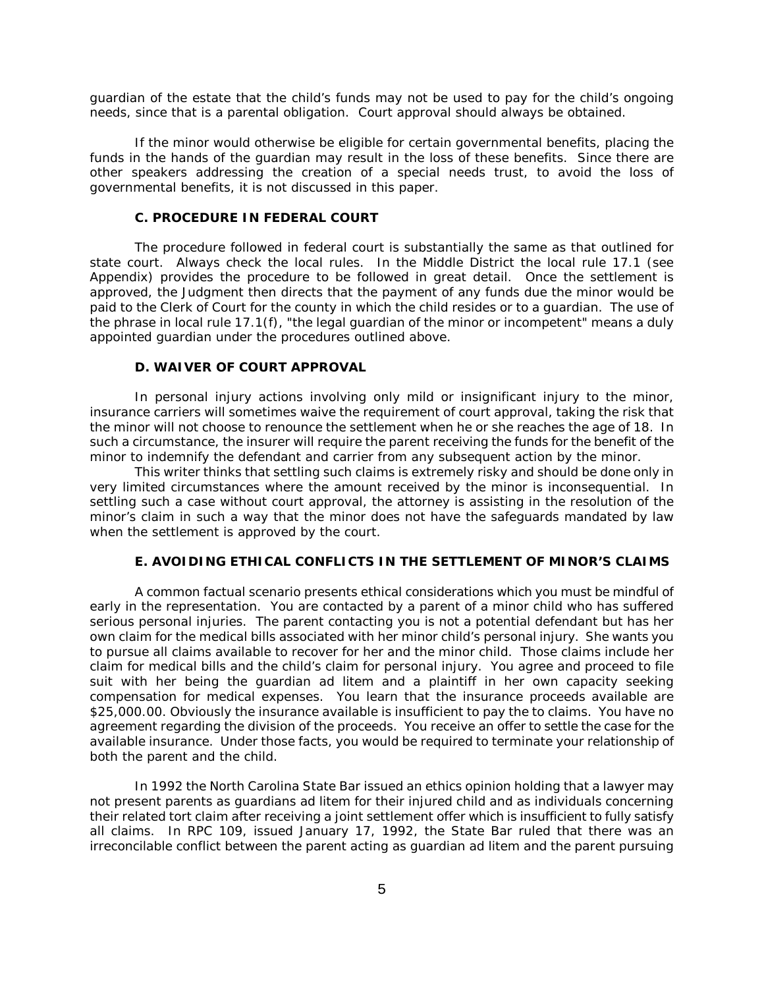guardian of the estate that the child's funds may not be used to pay for the child's ongoing needs, since that is a parental obligation. Court approval should always be obtained.

If the minor would otherwise be eligible for certain governmental benefits, placing the funds in the hands of the guardian may result in the loss of these benefits. Since there are other speakers addressing the creation of a special needs trust, to avoid the loss of governmental benefits, it is not discussed in this paper.

### **C. PROCEDURE IN FEDERAL COURT**

The procedure followed in federal court is substantially the same as that outlined for state court. Always check the local rules. In the Middle District the local rule 17.1 (see Appendix) provides the procedure to be followed in great detail. Once the settlement is approved, the Judgment then directs that the payment of any funds due the minor would be paid to the Clerk of Court for the county in which the child resides or to a guardian. The use of the phrase in local rule 17.1(f), "the legal guardian of the minor or incompetent" means a duly appointed guardian under the procedures outlined above.

## **D. WAIVER OF COURT APPROVAL**

In personal injury actions involving only mild or insignificant injury to the minor, insurance carriers will sometimes waive the requirement of court approval, taking the risk that the minor will not choose to renounce the settlement when he or she reaches the age of 18. In such a circumstance, the insurer will require the parent receiving the funds for the benefit of the minor to indemnify the defendant and carrier from any subsequent action by the minor.

This writer thinks that settling such claims is extremely risky and should be done only in very limited circumstances where the amount received by the minor is inconsequential. In settling such a case without court approval, the attorney is assisting in the resolution of the minor's claim in such a way that the minor does not have the safeguards mandated by law when the settlement is approved by the court.

### **E. AVOIDING ETHICAL CONFLICTS IN THE SETTLEMENT OF MINOR'S CLAIMS**

A common factual scenario presents ethical considerations which you must be mindful of early in the representation. You are contacted by a parent of a minor child who has suffered serious personal injuries. The parent contacting you is not a potential defendant but has her own claim for the medical bills associated with her minor child's personal injury. She wants you to pursue all claims available to recover for her and the minor child. Those claims include her claim for medical bills and the child's claim for personal injury. You agree and proceed to file suit with her being the guardian *ad litem* and a plaintiff in her own capacity seeking compensation for medical expenses. You learn that the insurance proceeds available are \$25,000.00. Obviously the insurance available is insufficient to pay the to claims. You have no agreement regarding the division of the proceeds. You receive an offer to settle the case for the available insurance. Under those facts, you would be required to terminate your relationship of both the parent and the child.

In 1992 the North Carolina State Bar issued an ethics opinion holding that a lawyer may not present parents as guardians *ad litem* for their injured child and as individuals concerning their related tort claim after receiving a joint settlement offer which is insufficient to fully satisfy all claims. In RPC 109, issued January 17, 1992, the State Bar ruled that there was an *irreconcilable* conflict between the parent acting as guardian *ad litem* and the parent pursuing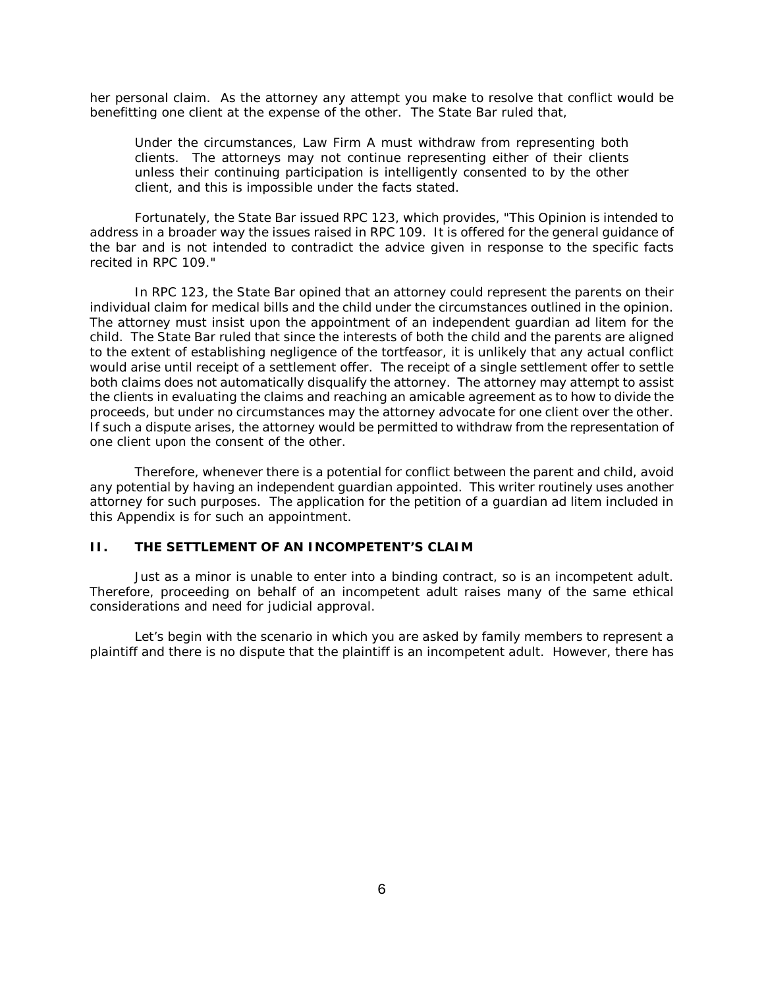her personal claim. As the attorney any attempt you make to resolve that conflict would be benefitting one client at the expense of the other. The State Bar ruled that,

Under the circumstances, Law Firm A must withdraw from representing both clients. The attorneys may not continue representing either of their clients unless their continuing participation is intelligently consented to by the other client, and this is impossible under the facts stated.

Fortunately, the State Bar issued RPC 123, which provides, "This Opinion is intended to address in a broader way the issues raised in RPC 109. It is offered for the general guidance of the bar and is not intended to contradict the advice given in response to the specific facts recited in RPC 109."

In RPC 123, the State Bar opined that an attorney could represent the parents on their individual claim for medical bills and the child under the circumstances outlined in the opinion. The attorney must insist upon the appointment of an independent guardian *ad litem* for the child. The State Bar ruled that since the interests of both the child and the parents are aligned to the extent of establishing negligence of the tortfeasor, it is unlikely that any actual conflict would arise until receipt of a settlement offer. The receipt of a single settlement offer to settle both claims does not *automatically disqualify* the attorney. The attorney may attempt to assist the clients in evaluating the claims and reaching an amicable agreement as to how to divide the proceeds, but under no circumstances may the attorney advocate for one client over the other. If such a dispute arises, the attorney would be permitted to withdraw from the representation of one client upon the consent of the other.

Therefore, whenever there is a potential for conflict between the parent and child, avoid any potential by having an independent guardian appointed. This writer routinely uses another attorney for such purposes. The application for the petition of a guardian *ad litem* included in this Appendix is for such an appointment.

### **II. THE SETTLEMENT OF AN INCOMPETENT'S CLAIM**

Just as a minor is unable to enter into a binding contract, so is an incompetent adult. Therefore, proceeding on behalf of an incompetent adult raises many of the same ethical considerations and need for judicial approval.

Let's begin with the scenario in which you are asked by family members to represent a plaintiff and there is no dispute that the plaintiff is an incompetent adult. However, there has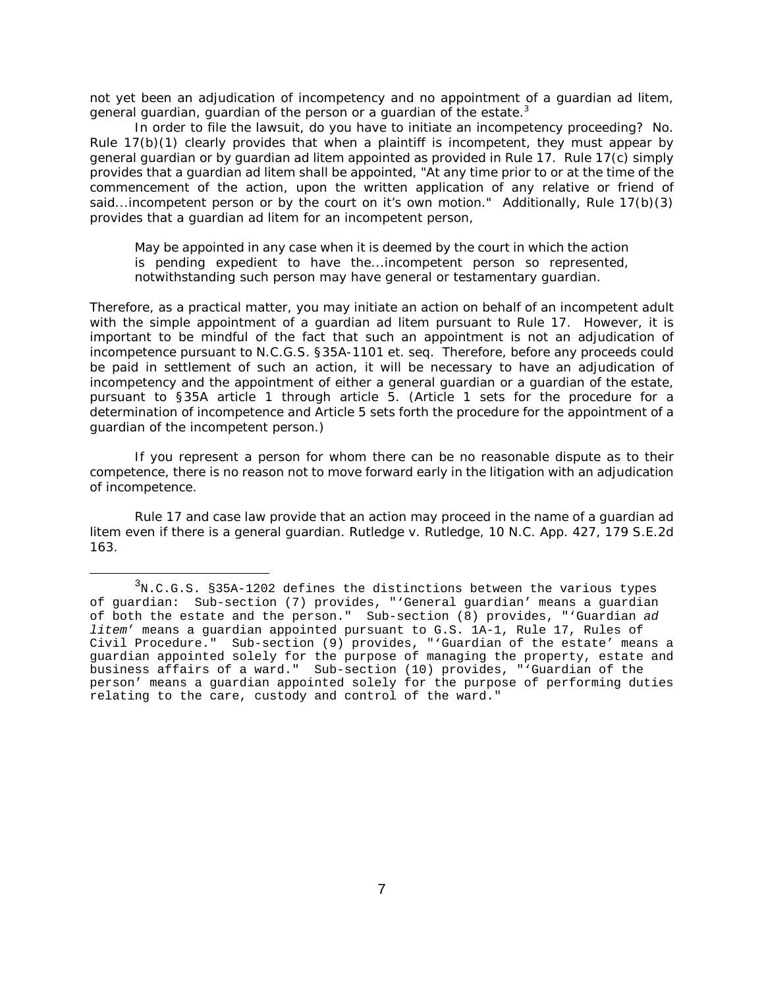not yet been an adjudication of incompetency and no appointment of a guardian *ad litem*, general guardian, guardian of the person or a guardian of the estate.<sup>3</sup>

In order to file the lawsuit, do you have to initiate an incompetency proceeding? No. Rule 17(b)(1) clearly provides that when a plaintiff is incompetent, they *must* appear by general guardian or by guardian *ad litem* appointed as provided in Rule 17. Rule 17(c) simply provides that a guardian *ad litem* shall be appointed, "At any time prior to or at the time of the commencement of the action, upon the written application of any relative or friend of said...incompetent person or by the court on it's own motion." Additionally, Rule 17(b)(3) provides that a guardian *ad litem* for an incompetent person,

May be appointed in any case when it is deemed by the court in which the action is pending expedient to have the...incompetent person so represented, notwithstanding such person may have general or testamentary guardian.

Therefore, as a practical matter, you may initiate an action on behalf of an incompetent adult with the simple appointment of a guardian *ad litem* pursuant to Rule 17. However, it is important to be mindful of the fact that such an appointment is not an adjudication of incompetence pursuant to N.C.G.S. §35A-1101 *et. seq.* Therefore, before any proceeds could be paid in settlement of such an action, it will be necessary to have an adjudication of incompetency and the appointment of either a general guardian or a guardian of the estate, pursuant to §35A article 1 through article 5. (Article 1 sets for the procedure for a determination of incompetence and Article 5 sets forth the procedure for the appointment of a guardian of the incompetent person.)

If you represent a person for whom there can be no reasonable dispute as to their competence, there is no reason not to move forward early in the litigation with an adjudication of incompetence.

Rule 17 and case law provide that an action may proceed in the name of a guardian *ad litem* even if there is a general guardian. *Rutledge v. Rutledge*, 10 N.C. App. 427, 179 S.E.2d 163.

 $3$ N.C.G.S. §35A-1202 defines the distinctions between the various types of guardian: Sub-section (7) provides, "'General guardian' means a guardian of both the estate and the person." Sub-section (8) provides, "'Guardian ad litem' means a guardian appointed pursuant to G.S. 1A-1, Rule 17, Rules of Civil Procedure." Sub-section (9) provides, "'Guardian of the estate' means a guardian appointed solely for the purpose of managing the property, estate and business affairs of a ward." Sub-section (10) provides, "'Guardian of the person' means a guardian appointed solely for the purpose of performing duties relating to the care, custody and control of the ward."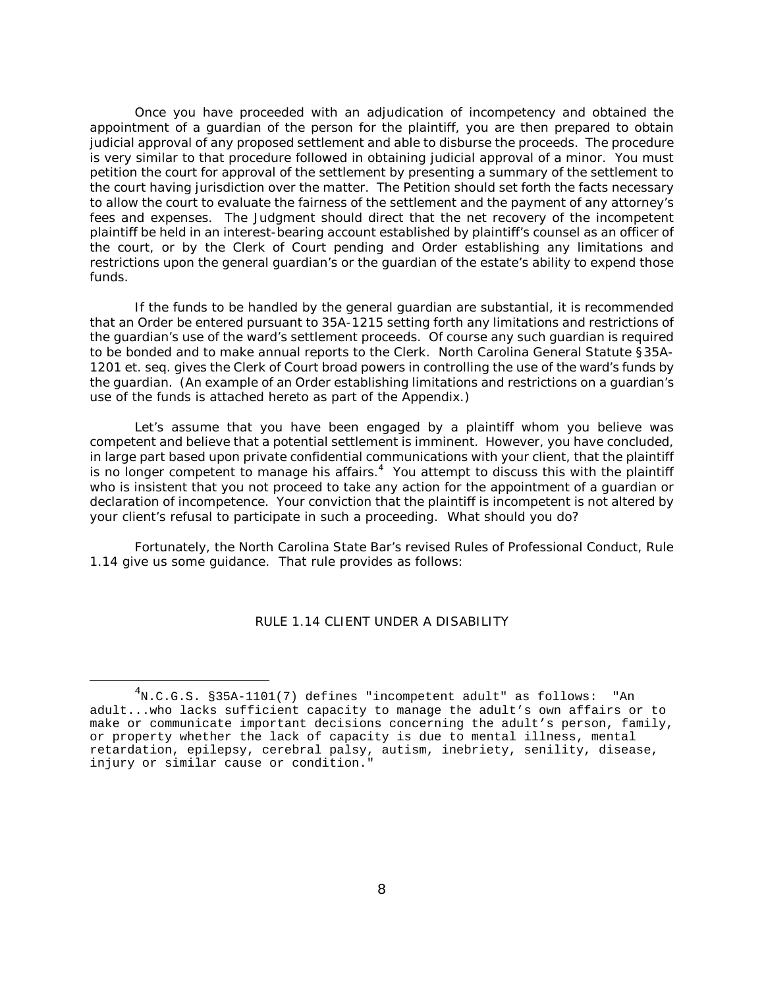Once you have proceeded with an adjudication of incompetency and obtained the appointment of a guardian of the person for the plaintiff, you are then prepared to obtain judicial approval of any proposed settlement and able to disburse the proceeds. The procedure is very similar to that procedure followed in obtaining judicial approval of a minor. You must petition the court for approval of the settlement by presenting a summary of the settlement to the court having jurisdiction over the matter. The Petition should set forth the facts necessary to allow the court to evaluate the fairness of the settlement and the payment of any attorney's fees and expenses. The Judgment should direct that the net recovery of the incompetent plaintiff be held in an interest-bearing account established by plaintiff's counsel as an officer of the court, or by the Clerk of Court pending and Order establishing any limitations and restrictions upon the general guardian's or the guardian of the estate's ability to expend those funds.

If the funds to be handled by the general guardian are substantial, it is recommended that an Order be entered pursuant to 35A-1215 setting forth any limitations and restrictions of the guardian's use of the ward's settlement proceeds. Of course any such guardian is required to be bonded and to make annual reports to the Clerk. North Carolina General Statute §35A-1201 *et. seq.* gives the Clerk of Court broad powers in controlling the use of the ward's funds by the guardian. (An example of an Order establishing limitations and restrictions on a guardian's use of the funds is attached hereto as part of the Appendix.)

Let's assume that you have been engaged by a plaintiff whom you believe was competent and believe that a potential settlement is imminent. However, you have concluded, in large part based upon private confidential communications with your client, that the plaintiff is no longer competent to manage his affairs.<sup>4</sup> You attempt to discuss this with the plaintiff who is insistent that you not proceed to take any action for the appointment of a guardian or declaration of incompetence. Your conviction that the plaintiff is incompetent is not altered by your client's refusal to participate in such a proceeding. What should you do?

Fortunately, the North Carolina State Bar's revised Rules of Professional Conduct, Rule 1.14 give us some guidance. That rule provides as follows:

### RULE 1.14 CLIENT UNDER A DISABILITY

 $^4$ N.C.G.S. §35A-1101(7) defines "incompetent adult" as follows: "An adult...who lacks sufficient capacity to manage the adult's own affairs or to make or communicate important decisions concerning the adult's person, family, or property whether the lack of capacity is due to mental illness, mental retardation, epilepsy, cerebral palsy, autism, inebriety, senility, disease, injury or similar cause or condition."